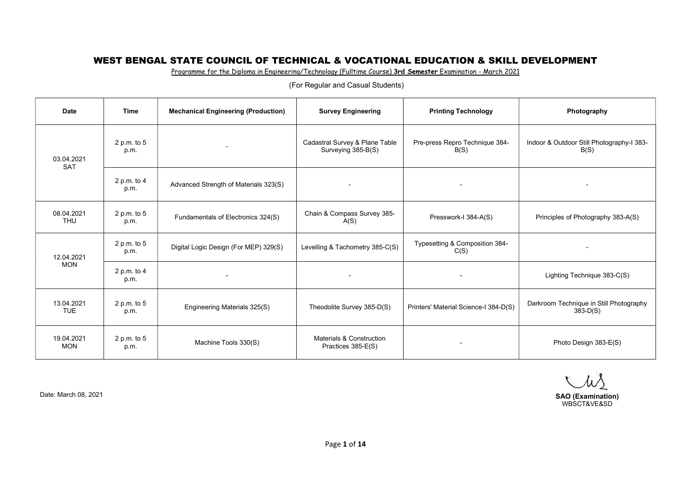Programme for the Diploma in Engineering/Technology (Fulltime Course) 3rd Semester Examination - March 2021

| <b>Date</b>              | <b>Time</b>           | <b>Mechanical Engineering (Production)</b> | <b>Survey Engineering</b>                            | <b>Printing Technology</b>             | Photography                                           |
|--------------------------|-----------------------|--------------------------------------------|------------------------------------------------------|----------------------------------------|-------------------------------------------------------|
| 03.04.2021<br><b>SAT</b> | 2 p.m. to 5<br>p.m.   |                                            | Cadastral Survey & Plane Table<br>Surveying 385-B(S) | Pre-press Repro Technique 384-<br>B(S) | Indoor & Outdoor Still Photography-I 383-<br>B(S)     |
|                          | 2 p.m. to $4$<br>p.m. | Advanced Strength of Materials 323(S)      | $\overline{\phantom{a}}$                             | $\overline{\phantom{a}}$               |                                                       |
| 08.04.2021<br><b>THU</b> | 2 p.m. to 5<br>p.m.   | Fundamentals of Electronics 324(S)         | Chain & Compass Survey 385-<br>A(S)                  | Presswork-I 384-A(S)                   | Principles of Photography 383-A(S)                    |
| 12.04.2021               | 2 p.m. to 5<br>p.m.   | Digital Logic Design (For MEP) 329(S)      | Levelling & Tachometry 385-C(S)                      | Typesetting & Composition 384-<br>C(S) | $\overline{\phantom{a}}$                              |
| <b>MON</b>               | 2 p.m. to $4$<br>p.m. | $\overline{\phantom{a}}$                   | $\sim$                                               | $\blacksquare$                         | Lighting Technique 383-C(S)                           |
| 13.04.2021<br><b>TUE</b> | 2 p.m. to 5<br>p.m.   | Engineering Materials 325(S)               | Theodolite Survey 385-D(S)                           | Printers' Material Science-I 384-D(S)  | Darkroom Technique in Still Photography<br>$383-D(S)$ |
| 19.04.2021<br><b>MON</b> | 2 p.m. to 5<br>p.m.   | Machine Tools 330(S)                       | Materials & Construction<br>Practices 385-E(S)       | $\overline{\phantom{a}}$               | Photo Design 383-E(S)                                 |

 $\mu\lambda$ Date: March 08, 2021 SAO (Examination) WBSCT&VE&SD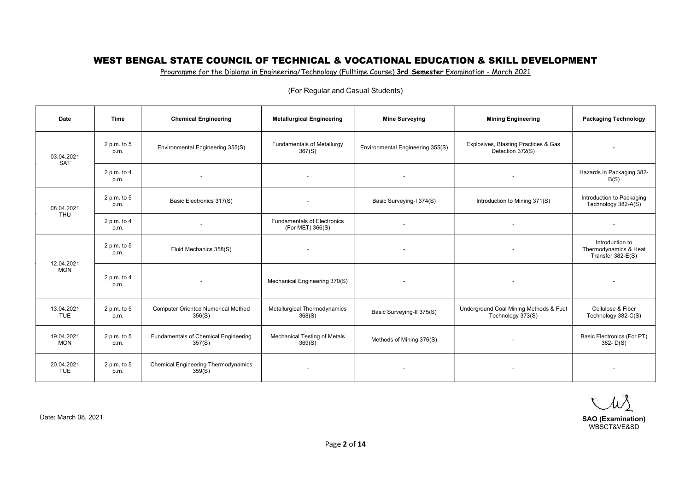Programme for the Diploma in Engineering/Technology (Fulltime Course) 3rd Semester Examination - March 2021

| Date                     | Time                | <b>Chemical Engineering</b>                          | <b>Metallurgical Engineering</b>                       | <b>Mine Surveying</b>            | <b>Mining Engineering</b>                                   | <b>Packaging Technology</b>                                   |
|--------------------------|---------------------|------------------------------------------------------|--------------------------------------------------------|----------------------------------|-------------------------------------------------------------|---------------------------------------------------------------|
| 03.04.2021<br><b>SAT</b> | 2 p.m. to 5<br>p.m. | Environmental Engineering 355(S)                     | <b>Fundamentals of Metallurgy</b><br>367(S)            | Environmental Engineering 355(S) | Explosives, Blasting Practices & Gas<br>Detection 372(S)    | $\overline{\phantom{a}}$                                      |
|                          | 2 p.m. to 4<br>p.m. | $\overline{\phantom{a}}$                             | $\sim$                                                 | $\sim$                           | $\overline{\phantom{a}}$                                    | Hazards in Packaging 382-<br>B(S)                             |
| 08.04.2021               | 2 p.m. to 5<br>p.m. | Basic Electronics 317(S)                             |                                                        | Basic Surveying-I 374(S)         | Introduction to Mining 371(S)                               | Introduction to Packaging<br>Technology 382-A(S)              |
| <b>THU</b>               | 2 p.m. to 4<br>p.m. |                                                      | <b>Fundamentals of Electronics</b><br>(For MET) 366(S) | $\overline{\phantom{a}}$         | $\overline{\phantom{a}}$                                    |                                                               |
|                          | 2 p.m. to 5<br>p.m. | Fluid Mechanics 358(S)                               |                                                        | $\overline{\phantom{a}}$         |                                                             | Introduction to<br>Thermodynamics & Heat<br>Transfer 382-E(S) |
| 12.04.2021<br><b>MON</b> | 2 p.m. to 4<br>p.m. | $\overline{\phantom{a}}$                             | Mechanical Engineering 370(S)                          | $\overline{\phantom{a}}$         | $\overline{\phantom{a}}$                                    | $\overline{\phantom{a}}$                                      |
| 13.04.2021<br><b>TUE</b> | 2 p.m. to 5<br>p.m. | <b>Computer Oriented Numerical Method</b><br>356(S)  | Metallurgical Thermodynamics<br>368(S)                 | Basic Surveying-II 375(S)        | Underground Coal Mining Methods & Fuel<br>Technology 373(S) | Cellulose & Fiber<br>Technology 382-C(S)                      |
| 19.04.2021<br><b>MON</b> | 2 p.m. to 5<br>p.m. | Fundamentals of Chemical Engineering<br>357(S)       | Mechanical Testing of Metals<br>369(S)                 | Methods of Mining 376(S)         | $\overline{\phantom{a}}$                                    | <b>Basic Electronics (For PT)</b><br>$382 - D(S)$             |
| 20.04.2021<br><b>TUE</b> | 2 p.m. to 5<br>p.m. | <b>Chemical Engineering Thermodynamics</b><br>359(S) |                                                        | $\overline{\phantom{a}}$         | $\overline{\phantom{a}}$                                    | $\overline{\phantom{a}}$                                      |

(For Regular and Casual Students)

W

Date: March 08, 2021 SAO (Examination) WBSCT&VE&SD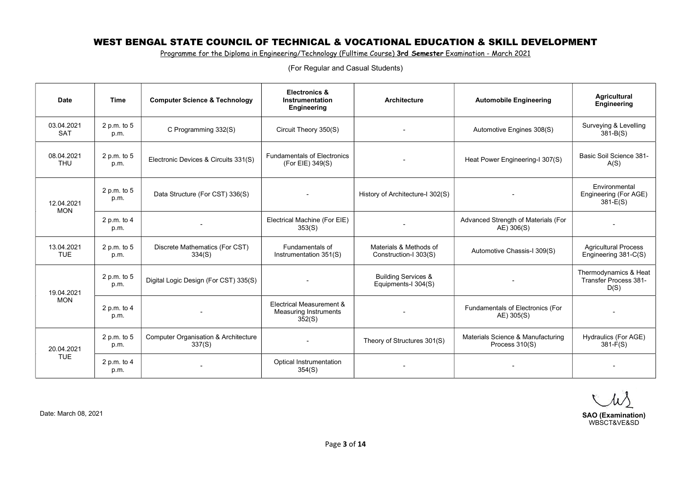Programme for the Diploma in Engineering/Technology (Fulltime Course) 3rd Semester Examination - March 2021

| <b>Date</b>              | <b>Time</b>           | <b>Computer Science &amp; Technology</b>                  | <b>Electronics &amp;</b><br><b>Instrumentation</b>          | <b>Architecture</b>                                   | <b>Automobile Engineering</b>                       | <b>Agricultural</b><br>Engineering                     |
|--------------------------|-----------------------|-----------------------------------------------------------|-------------------------------------------------------------|-------------------------------------------------------|-----------------------------------------------------|--------------------------------------------------------|
|                          |                       |                                                           | Engineering                                                 |                                                       |                                                     |                                                        |
| 03.04.2021<br><b>SAT</b> | 2 p.m. to $5$<br>p.m. | C Programming 332(S)                                      | Circuit Theory 350(S)                                       |                                                       | Automotive Engines 308(S)                           | Surveying & Levelling<br>$381 - B(S)$                  |
| 08.04.2021<br><b>THU</b> | 2 p.m. to 5<br>p.m.   | Electronic Devices & Circuits 331(S)                      | <b>Fundamentals of Electronics</b><br>(For EIE) 349(S)      | Heat Power Engineering-I 307(S)                       |                                                     | Basic Soil Science 381-<br>A(S)                        |
| 12.04.2021<br><b>MON</b> | 2 p.m. to 5<br>p.m.   | Data Structure (For CST) 336(S)                           |                                                             | History of Architecture-I 302(S)                      |                                                     | Environmental<br>Engineering (For AGE)<br>$381-E(S)$   |
|                          | 2 p.m. to $4$<br>p.m. |                                                           | Electrical Machine (For EIE)<br>353(S)                      |                                                       | Advanced Strength of Materials (For<br>AE) 306(S)   |                                                        |
| 13.04.2021<br><b>TUE</b> | 2 p.m. to 5<br>p.m.   | Discrete Mathematics (For CST)<br>334(S)                  | Fundamentals of<br>Instrumentation 351(S)                   | Materials & Methods of<br>Construction-I 303(S)       | Automotive Chassis-I 309(S)                         | <b>Agricultural Process</b><br>Engineering 381-C(S)    |
| 19.04.2021               | 2 p.m. to 5<br>p.m.   | Digital Logic Design (For CST) 335(S)                     |                                                             | <b>Building Services &amp;</b><br>Equipments-I 304(S) |                                                     | Thermodynamics & Heat<br>Transfer Process 381-<br>D(S) |
| <b>MON</b>               | 2 p.m. to $4$<br>p.m. |                                                           | Electrical Measurement &<br>Measuring Instruments<br>352(S) |                                                       | Fundamentals of Electronics (For<br>AE) 305(S)      |                                                        |
| 20.04.2021               | 2 p.m. to 5<br>p.m.   | <b>Computer Organisation &amp; Architecture</b><br>337(S) |                                                             | Theory of Structures 301(S)                           | Materials Science & Manufacturing<br>Process 310(S) | Hydraulics (For AGE)<br>$381 - F(S)$                   |
| <b>TUE</b>               | 2 p.m. to $4$<br>p.m. |                                                           | Optical Instrumentation<br>354(S)                           |                                                       |                                                     |                                                        |

(For Regular and Casual Students)

 $\mu\lambda$ 

SAO (Examination) WBSCT&VE&SD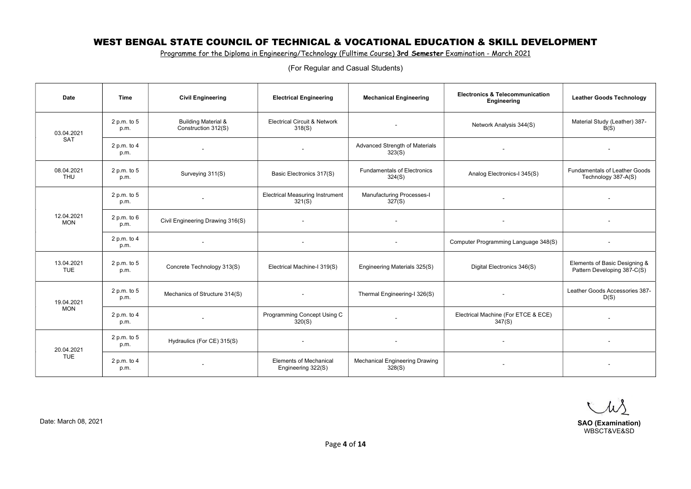Programme for the Diploma in Engineering/Technology (Fulltime Course) 3rd Semester Examination - March 2021

| <b>Date</b>              | <b>Time</b>           | <b>Civil Engineering</b>                              | <b>Electrical Engineering</b>                       | <b>Mechanical Engineering</b>                | <b>Electronics &amp; Telecommunication</b><br>Engineering | <b>Leather Goods Technology</b>                              |
|--------------------------|-----------------------|-------------------------------------------------------|-----------------------------------------------------|----------------------------------------------|-----------------------------------------------------------|--------------------------------------------------------------|
| 03.04.2021               | 2 p.m. to 5<br>p.m.   | <b>Building Material &amp;</b><br>Construction 312(S) | <b>Electrical Circuit &amp; Network</b><br>318(S)   | $\overline{\phantom{a}}$                     | Network Analysis 344(S)                                   | Material Study (Leather) 387-<br>B(S)                        |
| <b>SAT</b>               | 2 p.m. to $4$<br>p.m. | $\sim$                                                | $\overline{\phantom{a}}$                            | Advanced Strength of Materials<br>323(S)     | $\sim$                                                    | $\sim$                                                       |
| 08.04.2021<br><b>THU</b> | 2 p.m. to 5<br>p.m.   | Surveying 311(S)                                      | Basic Electronics 317(S)                            | <b>Fundamentals of Electronics</b><br>324(S) | Analog Electronics-I 345(S)                               | <b>Fundamentals of Leather Goods</b><br>Technology 387-A(S)  |
|                          | 2 p.m. to 5<br>p.m.   |                                                       | <b>Electrical Measuring Instrument</b><br>321(S)    | Manufacturing Processes-I<br>327(S)          |                                                           |                                                              |
| 12.04.2021<br><b>MON</b> | 2 p.m. to 6<br>p.m.   | Civil Engineering Drawing 316(S)                      |                                                     | $\blacksquare$                               |                                                           |                                                              |
|                          | 2 p.m. to 4<br>p.m.   | $\overline{\phantom{a}}$                              | $\overline{\phantom{a}}$                            | $\overline{\phantom{a}}$                     | Computer Programming Language 348(S)                      |                                                              |
| 13.04.2021<br><b>TUE</b> | 2 p.m. to 5<br>p.m.   | Concrete Technology 313(S)                            | Electrical Machine-I 319(S)                         | Engineering Materials 325(S)                 | Digital Electronics 346(S)                                | Elements of Basic Designing &<br>Pattern Developing 387-C(S) |
| 19.04.2021               | 2 p.m. to 5<br>p.m.   | Mechanics of Structure 314(S)                         |                                                     | Thermal Engineering-I 326(S)                 |                                                           | Leather Goods Accessories 387-<br>D(S)                       |
| <b>MON</b>               | 2 p.m. to $4$<br>p.m. | $\overline{\phantom{a}}$                              | Programming Concept Using C<br>320(S)               |                                              | Electrical Machine (For ETCE & ECE)<br>347(S)             |                                                              |
| 20.04.2021               | 2 p.m. to 5<br>p.m.   | Hydraulics (For CE) 315(S)                            |                                                     |                                              |                                                           |                                                              |
| <b>TUE</b>               | 2 p.m. to 4<br>p.m.   |                                                       | <b>Elements of Mechanical</b><br>Engineering 322(S) | Mechanical Engineering Drawing<br>328(S)     |                                                           |                                                              |

Date: March 08, 2021 SAO (Examination) SAO (Examination) WBSCT&VE&SD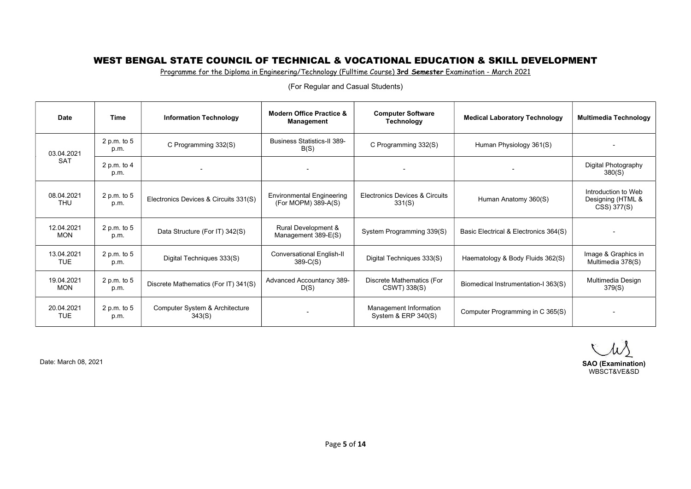Programme for the Diploma in Engineering/Technology (Fulltime Course) 3rd Semester Examination - March 2021

| <b>Date</b>              | Time                | <b>Information Technology</b>            | <b>Modern Office Practice &amp;</b><br>Management       | <b>Computer Software</b><br>Technology          | <b>Medical Laboratory Technology</b>  | <b>Multimedia Technology</b>                            |
|--------------------------|---------------------|------------------------------------------|---------------------------------------------------------|-------------------------------------------------|---------------------------------------|---------------------------------------------------------|
| 03.04.2021               | 2 p.m. to 5<br>p.m. | C Programming 332(S)                     | <b>Business Statistics-II 389-</b><br>B(S)              | C Programming 332(S)                            | Human Physiology 361(S)               |                                                         |
| <b>SAT</b>               | 2 p.m. to 4<br>p.m. |                                          |                                                         |                                                 |                                       | Digital Photography<br>380(S)                           |
| 08.04.2021<br><b>THU</b> | 2 p.m. to 5<br>p.m. | Electronics Devices & Circuits 331(S)    | <b>Environmental Engineering</b><br>(For MOPM) 389-A(S) | Electronics Devices & Circuits<br>331(S)        | Human Anatomy 360(S)                  | Introduction to Web<br>Designing (HTML &<br>CSS) 377(S) |
| 12.04.2021<br><b>MON</b> | 2 p.m. to 5<br>p.m. | Data Structure (For IT) 342(S)           | Rural Development &<br>Management 389-E(S)              | System Programming 339(S)                       | Basic Electrical & Electronics 364(S) |                                                         |
| 13.04.2021<br><b>TUE</b> | 2 p.m. to 5<br>p.m. | Digital Techniques 333(S)                | Conversational English-II<br>$389-C(S)$                 | Digital Techniques 333(S)                       | Haematology & Body Fluids 362(S)      | Image & Graphics in<br>Multimedia 378(S)                |
| 19.04.2021<br><b>MON</b> | 2 p.m. to 5<br>p.m. | Discrete Mathematics (For IT) 341(S)     | Advanced Accountancy 389-<br>D(S)                       | Discrete Mathematics (For<br>CSWT) 338(S)       | Biomedical Instrumentation-I 363(S)   | Multimedia Design<br>379(S)                             |
| 20.04.2021<br><b>TUE</b> | 2 p.m. to 5<br>p.m. | Computer System & Architecture<br>343(S) |                                                         | Management Information<br>System & ERP $340(S)$ | Computer Programming in C 365(S)      |                                                         |

(For Regular and Casual Students)

W

Date: March 08, 2021 SAO (Examination) WBSCT&VE&SD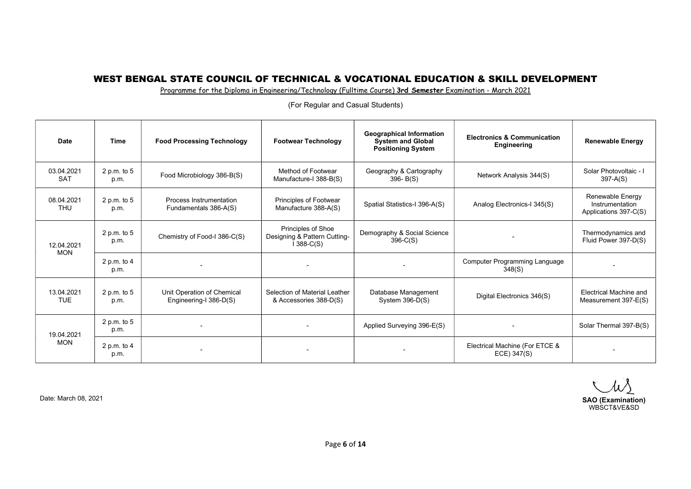Programme for the Diploma in Engineering/Technology (Fulltime Course) 3rd Semester Examination - March 2021

| <b>Date</b>              | <b>Time</b>           | <b>Food Processing Technology</b>                    | <b>Footwear Technology</b>                                        | <b>Geographical Information</b><br><b>System and Global</b><br><b>Positioning System</b> | <b>Electronics &amp; Communication</b><br>Engineering | <b>Renewable Energy</b>                                      |
|--------------------------|-----------------------|------------------------------------------------------|-------------------------------------------------------------------|------------------------------------------------------------------------------------------|-------------------------------------------------------|--------------------------------------------------------------|
| 03.04.2021<br><b>SAT</b> | 2 p.m. to $5$<br>p.m. | Food Microbiology 386-B(S)                           | Method of Footwear<br>Manufacture-I 388-B(S)                      | Geography & Cartography<br>$396 - B(S)$                                                  | Network Analysis 344(S)                               | Solar Photovoltaic - I<br>$397 - A(S)$                       |
| 08.04.2021<br><b>THU</b> | 2 p.m. to $5$<br>p.m. | Process Instrumentation<br>Fundamentals 386-A(S)     | Principles of Footwear<br>Manufacture 388-A(S)                    | Spatial Statistics-I 396-A(S)                                                            | Analog Electronics-I 345(S)                           | Renewable Energy<br>Instrumentation<br>Applications 397-C(S) |
| 12.04.2021               | 2 p.m. to 5<br>p.m.   | Chemistry of Food-I 386-C(S)                         | Principles of Shoe<br>Designing & Pattern Cutting-<br>$1388-C(S)$ | Demography & Social Science<br>$396-C(S)$                                                |                                                       | Thermodynamics and<br>Fluid Power 397-D(S)                   |
| <b>MON</b>               | 2 p.m. to $4$<br>p.m. |                                                      |                                                                   |                                                                                          | Computer Programming Language<br>348(S)               |                                                              |
| 13.04.2021<br><b>TUE</b> | 2 p.m. to 5<br>p.m.   | Unit Operation of Chemical<br>Engineering-I 386-D(S) | Selection of Material Leather<br>& Accessories 388-D(S)           | Database Management<br>System $396-D(S)$                                                 | Digital Electronics 346(S)                            | Electrical Machine and<br>Measurement 397-E(S)               |
| 19.04.2021<br><b>MON</b> | 2 p.m. to 5<br>p.m.   |                                                      |                                                                   | Applied Surveying 396-E(S)                                                               |                                                       | Solar Thermal 397-B(S)                                       |
|                          | 2 p.m. to 4<br>p.m.   |                                                      |                                                                   |                                                                                          | Electrical Machine (For ETCE &<br>ECE) 347(S)         |                                                              |

(For Regular and Casual Students)

Date: March 08, 2021 SAO (Examination) WBSCT&VE&SD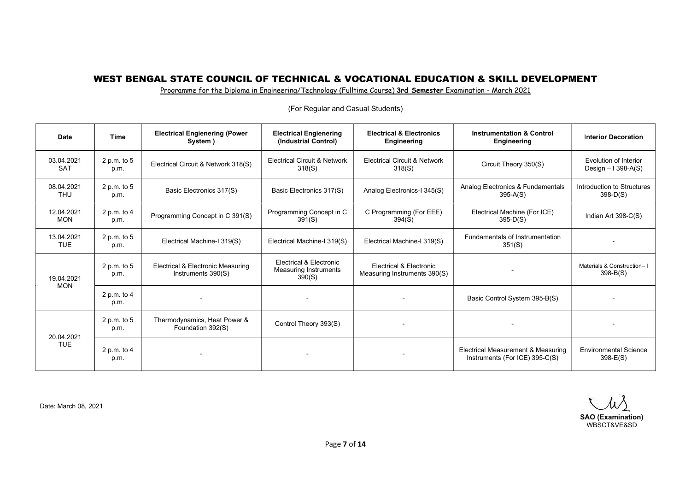Programme for the Diploma in Engineering/Technology (Fulltime Course) 3rd Semester Examination - March 2021

| <b>Date</b>              | Time                  | <b>Electrical Engienering (Power</b><br>System )        | <b>Electrical Engienering</b><br>(Industrial Control)             | <b>Electrical &amp; Electronics</b><br>Engineering      | <b>Instrumentation &amp; Control</b><br><b>Engineering</b>           | <b>Interior Decoration</b>                   |
|--------------------------|-----------------------|---------------------------------------------------------|-------------------------------------------------------------------|---------------------------------------------------------|----------------------------------------------------------------------|----------------------------------------------|
| 03.04.2021<br><b>SAT</b> | 2 p.m. to $5$<br>p.m. | Electrical Circuit & Network 318(S)                     | <b>Electrical Circuit &amp; Network</b><br>318(S)                 | <b>Electrical Circuit &amp; Network</b><br>318(S)       | Circuit Theory 350(S)                                                | Evolution of Interior<br>Design $-1398-A(S)$ |
| 08.04.2021<br><b>THU</b> | 2 p.m. to $5$<br>p.m. | Basic Electronics 317(S)                                | Basic Electronics 317(S)                                          | Analog Electronics-I 345(S)                             | Analog Electronics & Fundamentals<br>$395-A(S)$                      | Introduction to Structures<br>$398-D(S)$     |
| 12.04.2021<br><b>MON</b> | 2 p.m. to $4$<br>p.m. | Programming Concept in C 391(S)                         | Programming Concept in C<br>391(S)                                | C Programming (For EEE)<br>394(S)                       | Electrical Machine (For ICE)<br>$395-D(S)$                           | Indian Art 398-C(S)                          |
| 13.04.2021<br><b>TUE</b> | 2 p.m. to $5$<br>p.m. | Electrical Machine-I 319(S)                             | Electrical Machine-I 319(S)                                       | Electrical Machine-I 319(S)                             | Fundamentals of Instrumentation<br>351(S)                            |                                              |
| 19.04.2021<br><b>MON</b> | 2 p.m. to 5<br>p.m.   | Electrical & Electronic Measuring<br>Instruments 390(S) | Electrical & Electronic<br><b>Measuring Instruments</b><br>390(S) | Electrical & Electronic<br>Measuring Instruments 390(S) |                                                                      | Materials & Construction-I<br>$398 - B(S)$   |
|                          | 2 p.m. to $4$<br>p.m. | $\overline{\phantom{a}}$                                | $\overline{\phantom{0}}$                                          |                                                         | Basic Control System 395-B(S)                                        |                                              |
|                          | 2 p.m. to $5$<br>p.m. | Thermodynamics, Heat Power &<br>Foundation 392(S)       | Control Theory 393(S)                                             |                                                         |                                                                      |                                              |
| 20.04.2021<br><b>TUE</b> | 2 p.m. to $4$<br>p.m. |                                                         |                                                                   |                                                         | Electrical Measurement & Measuring<br>Instruments (For ICE) 395-C(S) | <b>Environmental Science</b><br>$398-E(S)$   |

(For Regular and Casual Students)

 $\mu\lambda$ SAO (Examination)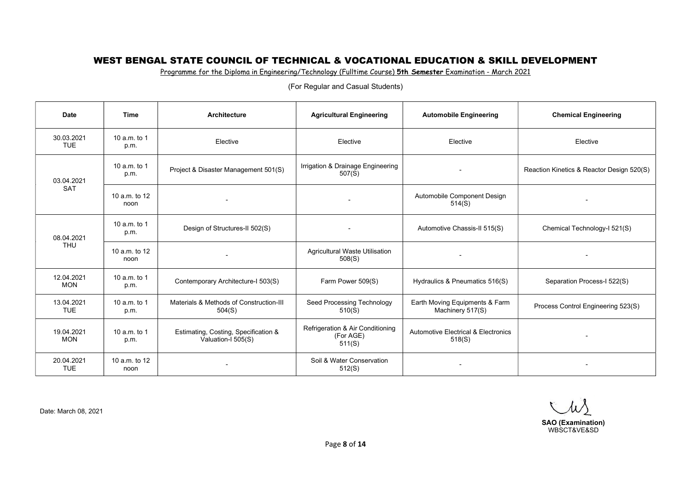Programme for the Diploma in Engineering/Technology (Fulltime Course) 5th Semester Examination - March 2021

| <b>Date</b>              | <b>Time</b>                                                                                                   | Architecture                                               | <b>Agricultural Engineering</b>                         | <b>Automobile Engineering</b>                            | <b>Chemical Engineering</b>        |
|--------------------------|---------------------------------------------------------------------------------------------------------------|------------------------------------------------------------|---------------------------------------------------------|----------------------------------------------------------|------------------------------------|
| 30.03.2021<br><b>TUE</b> | 10 $a.m.$ to 1<br>p.m.                                                                                        | Elective                                                   | Elective                                                | Elective                                                 | Elective                           |
| 03.04.2021               | Irrigation & Drainage Engineering<br>10 $a.m.$ to 1<br>Project & Disaster Management 501(S)<br>507(S)<br>p.m. |                                                            |                                                         | Reaction Kinetics & Reactor Design 520(S)                |                                    |
| <b>SAT</b>               | 10 a.m. to 12<br>noon                                                                                         | $\overline{\phantom{a}}$                                   | $\overline{\phantom{a}}$                                | Automobile Component Design<br>514(S)                    | $\overline{\phantom{a}}$           |
| 08.04.2021               | 10 $a.m.$ to 1<br>p.m.                                                                                        | Design of Structures-II 502(S)                             |                                                         | Automotive Chassis-II 515(S)                             | Chemical Technology-I 521(S)       |
| <b>THU</b>               | 10 a.m. to 12<br>noon                                                                                         |                                                            | Agricultural Waste Utilisation<br>508(S)                |                                                          | $\overline{\phantom{a}}$           |
| 12.04.2021<br><b>MON</b> | 10 a.m. to 1<br>p.m.                                                                                          | Contemporary Architecture-I 503(S)                         | Farm Power 509(S)                                       | Hydraulics & Pneumatics 516(S)                           | Separation Process-I 522(S)        |
| 13.04.2021<br><b>TUE</b> | 10 a.m. to 1<br>p.m.                                                                                          | Materials & Methods of Construction-III<br>504(S)          | Seed Processing Technology<br>510(S)                    | Earth Moving Equipments & Farm<br>Machinery 517(S)       | Process Control Engineering 523(S) |
| 19.04.2021<br><b>MON</b> | 10 a.m. to 1<br>p.m.                                                                                          | Estimating, Costing, Specification &<br>Valuation-I 505(S) | Refrigeration & Air Conditioning<br>(For AGE)<br>511(S) | <b>Automotive Electrical &amp; Electronics</b><br>518(S) | $\overline{\phantom{a}}$           |
| 20.04.2021<br><b>TUE</b> | 10 $a.m.$ to 12<br>noon                                                                                       |                                                            | Soil & Water Conservation<br>512(S)                     |                                                          |                                    |

(For Regular and Casual Students)

 $\mu$ SAO (Examination)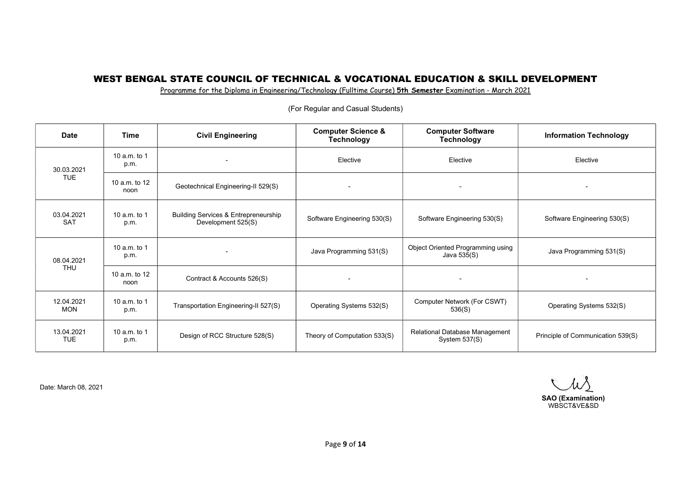Programme for the Diploma in Engineering/Technology (Fulltime Course) 5th Semester Examination - March 2021

| <b>Date</b>                        | <b>Time</b>             | <b>Civil Engineering</b>                                   | <b>Computer Science &amp;</b><br><b>Technology</b> | <b>Computer Software</b><br><b>Technology</b>     | <b>Information Technology</b>     |
|------------------------------------|-------------------------|------------------------------------------------------------|----------------------------------------------------|---------------------------------------------------|-----------------------------------|
| 10 a.m. to 1<br>p.m.<br>30.03.2021 |                         | Elective                                                   | Elective                                           | Elective                                          |                                   |
| <b>TUE</b>                         | 10 a.m. to 12<br>noon   | Geotechnical Engineering-II 529(S)                         |                                                    |                                                   | $\blacksquare$                    |
| 03.04.2021<br><b>SAT</b>           | 10 a.m. to 1<br>p.m.    | Building Services & Entrepreneurship<br>Development 525(S) | Software Engineering 530(S)                        | Software Engineering 530(S)                       | Software Engineering 530(S)       |
| 08.04.2021                         | 10 a.m. to 1<br>p.m.    | $\overline{\phantom{a}}$                                   | Java Programming 531(S)                            | Object Oriented Programming using<br>Java 535(S)  | Java Programming 531(S)           |
| <b>THU</b>                         | 10 $a.m.$ to 12<br>noon | Contract & Accounts 526(S)                                 | $\overline{\phantom{0}}$                           |                                                   | -                                 |
| 12.04.2021<br><b>MON</b>           | 10 a.m. to 1<br>p.m.    | Transportation Engineering-II 527(S)                       | Operating Systems 532(S)                           | Computer Network (For CSWT)<br>536(S)             | Operating Systems 532(S)          |
| 13.04.2021<br><b>TUE</b>           | 10 a.m. to 1<br>p.m.    | Design of RCC Structure 528(S)                             | Theory of Computation 533(S)                       | Relational Database Management<br>System $537(S)$ | Principle of Communication 539(S) |

(For Regular and Casual Students)

W SAO (Examination) WBSCT&VE&SD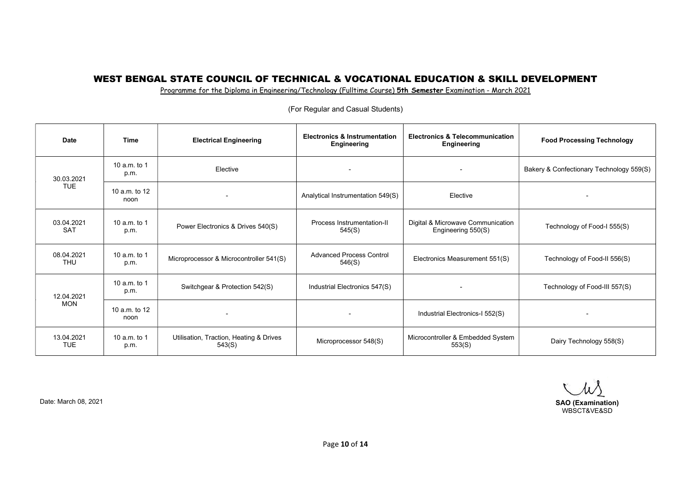Programme for the Diploma in Engineering/Technology (Fulltime Course) 5th Semester Examination - March 2021

| <b>Date</b>              | <b>Time</b>           | <b>Electrical Engineering</b>                     | <b>Electronics &amp; Instrumentation</b><br>Engineering | <b>Electronics &amp; Telecommunication</b><br>Engineering | <b>Food Processing Technology</b>        |
|--------------------------|-----------------------|---------------------------------------------------|---------------------------------------------------------|-----------------------------------------------------------|------------------------------------------|
| 30.03.2021               | 10 a.m. to 1<br>p.m.  | Elective                                          |                                                         | $\overline{\phantom{a}}$                                  | Bakery & Confectionary Technology 559(S) |
| <b>TUE</b>               | 10 a.m. to 12<br>noon | $\overline{\phantom{a}}$                          | Analytical Instrumentation 549(S)                       | Elective                                                  | $\overline{\phantom{a}}$                 |
| 03.04.2021<br><b>SAT</b> | 10 a.m. to 1<br>p.m.  | Power Electronics & Drives 540(S)                 | Process Instrumentation-II<br>545(S)                    | Digital & Microwave Communication<br>Engineering 550(S)   | Technology of Food-I 555(S)              |
| 08.04.2021<br><b>THU</b> | 10 a.m. to 1<br>p.m.  | Microprocessor & Microcontroller 541(S)           | <b>Advanced Process Control</b><br>546(S)               | Electronics Measurement 551(S)                            | Technology of Food-II 556(S)             |
| 12.04.2021               | 10 a.m. to 1<br>p.m.  | Switchgear & Protection 542(S)                    | Industrial Electronics 547(S)                           | $\overline{\phantom{0}}$                                  | Technology of Food-III 557(S)            |
| <b>MON</b>               | 10 a.m. to 12<br>noon |                                                   |                                                         | Industrial Electronics-I 552(S)                           |                                          |
| 13.04.2021<br><b>TUE</b> | 10 a.m. to 1<br>p.m.  | Utilisation, Traction, Heating & Drives<br>543(S) | Microprocessor 548(S)                                   | Microcontroller & Embedded System<br>553(S)               | Dairy Technology 558(S)                  |

(For Regular and Casual Students)

W

WBSCT&VE&SD

Date: March 08, 2021 SAO (Examination)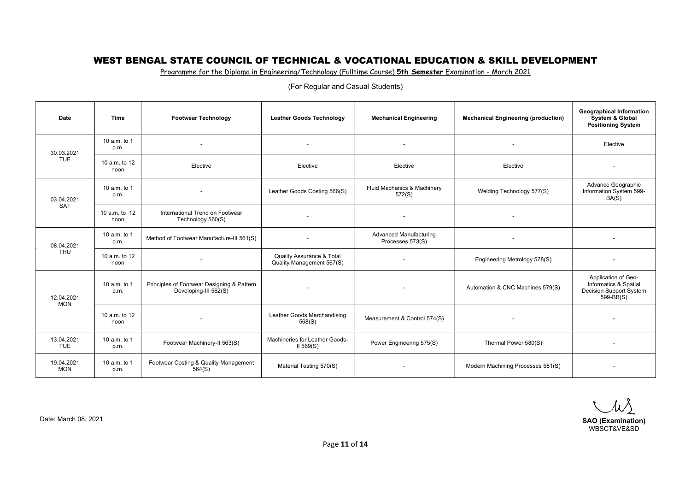Programme for the Diploma in Engineering/Technology (Fulltime Course) 5th Semester Examination - March 2021

| <b>Date</b>              | <b>Time</b>                                                    | <b>Footwear Technology</b>                                          | <b>Leather Goods Technology</b>                                   | <b>Mechanical Engineering</b>              | <b>Mechanical Engineering (production)</b>             | <b>Geographical Information</b><br>System & Global<br><b>Positioning System</b>             |
|--------------------------|----------------------------------------------------------------|---------------------------------------------------------------------|-------------------------------------------------------------------|--------------------------------------------|--------------------------------------------------------|---------------------------------------------------------------------------------------------|
| 30.03.2021               | 10 a.m. to 1<br>p.m.                                           |                                                                     | $\overline{\phantom{a}}$                                          | $\overline{\phantom{a}}$                   |                                                        | Elective                                                                                    |
| <b>TUE</b>               | 10 a.m. to 12<br>noon                                          | Elective                                                            | Elective                                                          | Elective                                   | Elective                                               |                                                                                             |
| 03.04.2021               | 10 a.m. to 1<br>Leather Goods Costing 566(S)<br>572(S)<br>p.m. |                                                                     | Fluid Mechanics & Machinery                                       | Welding Technology 577(S)                  | Advance Geographic<br>Information System 599-<br>BA(S) |                                                                                             |
| <b>SAT</b>               | 10 a.m. to 12<br>noon                                          | International Trend on Footwear<br>Technology 560(S)                | $\sim$                                                            | $\blacksquare$                             | $\sim$                                                 |                                                                                             |
| 08.04.2021               | 10 a.m. to 1<br>p.m.                                           | Method of Footwear Manufacture-III 561(S)                           |                                                                   | Advanced Manufacturing<br>Processes 573(S) | $\overline{\phantom{a}}$                               | $\overline{\phantom{a}}$                                                                    |
| <b>THU</b>               | 10 a.m. to 12<br>noon                                          | $\blacksquare$                                                      | <b>Quality Assurance &amp; Total</b><br>Quality Management 567(S) | $\blacksquare$                             | Engineering Metrology 578(S)                           | $\sim$                                                                                      |
| 12.04.2021<br><b>MON</b> | 10 a.m. to 1<br>p.m.                                           | Principles of Footwear Designing & Pattern<br>Developing-III 562(S) |                                                                   | $\blacksquare$                             | Automation & CNC Machines 579(S)                       | Application of Geo-<br>Informatics & Spatial<br><b>Decision Support System</b><br>599-BB(S) |
|                          | 10 a.m. to 12<br>noon                                          | $\sim$                                                              | Leather Goods Merchandising<br>568(S)                             | Measurement & Control 574(S)               | $\sim$                                                 | $\overline{\phantom{a}}$                                                                    |
| 13.04.2021<br><b>TUE</b> | 10 a.m. to 1<br>p.m.                                           | Footwear Machinery-II 563(S)                                        | Machineries for Leather Goods-<br>$II$ 569(S)                     | Power Engineering 575(S)                   | Thermal Power 580(S)                                   |                                                                                             |
| 19.04.2021<br><b>MON</b> | 10 a.m. to 1<br>p.m.                                           | Footwear Costing & Quality Management<br>564(S)                     | Material Testing 570(S)                                           | $\blacksquare$                             | Modern Machining Processes 581(S)                      | $\overline{\phantom{a}}$                                                                    |

Date: March 08, 2021 SAO (Examination) WBSCT&VE&SD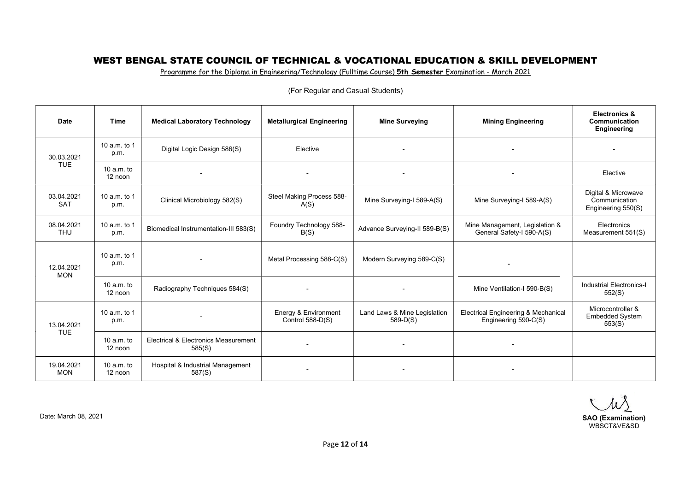Programme for the Diploma in Engineering/Technology (Fulltime Course) 5th Semester Examination - March 2021

| <b>Date</b>              | <b>Time</b>             | <b>Medical Laboratory Technology</b>           | <b>Metallurgical Engineering</b>         | <b>Mine Surveying</b>                      | <b>Mining Engineering</b>                                   | <b>Electronics &amp;</b><br>Communication<br>Engineering   |
|--------------------------|-------------------------|------------------------------------------------|------------------------------------------|--------------------------------------------|-------------------------------------------------------------|------------------------------------------------------------|
| 30.03.2021               | 10 a.m. to $1$<br>p.m.  | Digital Logic Design 586(S)                    | Elective                                 |                                            |                                                             |                                                            |
| <b>TUE</b>               | 10 $a.m.$ to<br>12 noon |                                                |                                          |                                            |                                                             | Elective                                                   |
| 03.04.2021<br><b>SAT</b> | 10 a.m. to $1$<br>p.m.  | Clinical Microbiology 582(S)                   | Steel Making Process 588-<br>A(S)        | Mine Surveying-I 589-A(S)                  | Mine Surveying-I 589-A(S)                                   | Digital & Microwave<br>Communication<br>Engineering 550(S) |
| 08.04.2021<br><b>THU</b> | 10 a.m. to 1<br>p.m.    | Biomedical Instrumentation-III 583(S)          | Foundry Technology 588-<br>B(S)          | Advance Surveying-II 589-B(S)              | Mine Management, Legislation &<br>General Safety-I 590-A(S) | Electronics<br>Measurement 551(S)                          |
| 12.04.2021<br><b>MON</b> | 10 a.m. to 1<br>p.m.    |                                                | Metal Processing 588-C(S)                | Modern Surveying 589-C(S)                  |                                                             |                                                            |
|                          | 10 $a.m.$ to<br>12 noon | Radiography Techniques 584(S)                  |                                          |                                            | Mine Ventilation-I 590-B(S)                                 | <b>Industrial Electronics-I</b><br>552(S)                  |
| 13.04.2021               | 10 a.m. to 1<br>p.m.    |                                                | Energy & Environment<br>Control 588-D(S) | Land Laws & Mine Legislation<br>$589-D(S)$ | Electrical Engineering & Mechanical<br>Engineering 590-C(S) | Microcontroller &<br><b>Embedded System</b><br>553(S)      |
| <b>TUE</b>               | 10 $a.m.$ to<br>12 noon | Electrical & Electronics Measurement<br>585(S) | $\overline{\phantom{a}}$                 | $\overline{\phantom{a}}$                   |                                                             |                                                            |
| 19.04.2021<br><b>MON</b> | 10 $a.m.$ to<br>12 noon | Hospital & Industrial Management<br>587(S)     |                                          |                                            |                                                             |                                                            |

(For Regular and Casual Students)

WS

WBSCT&VE&SD

Date: March 08, 2021 SAO (Examination)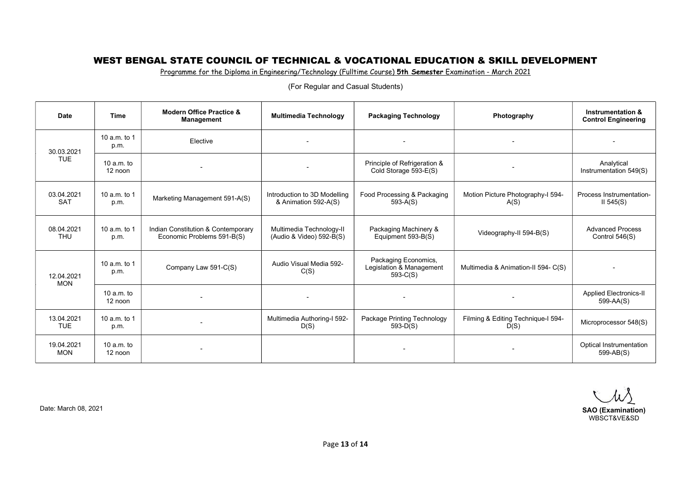Programme for the Diploma in Engineering/Technology (Fulltime Course) 5th Semester Examination - March 2021

| Date                     | Time                    | <b>Modern Office Practice &amp;</b><br><b>Management</b>         | <b>Multimedia Technology</b>                         | <b>Packaging Technology</b>                                    | Photography                                | <b>Instrumentation &amp;</b><br><b>Control Engineering</b> |
|--------------------------|-------------------------|------------------------------------------------------------------|------------------------------------------------------|----------------------------------------------------------------|--------------------------------------------|------------------------------------------------------------|
| 30.03.2021<br><b>TUE</b> | 10 a.m. to 1<br>p.m.    | Elective                                                         |                                                      |                                                                |                                            |                                                            |
|                          | 10 $a.m.$ to<br>12 noon |                                                                  | $\overline{\phantom{a}}$                             | Principle of Refrigeration &<br>Cold Storage 593-E(S)          |                                            | Analytical<br>Instrumentation 549(S)                       |
| 03.04.2021<br><b>SAT</b> | 10 a.m. to 1<br>p.m.    | Marketing Management 591-A(S)                                    | Introduction to 3D Modelling<br>& Animation 592-A(S) | Food Processing & Packaging<br>$593-A(S)$                      | Motion Picture Photography-I 594-<br>A(S)  | Process Instrumentation-<br>$II$ 545(S)                    |
| 08.04.2021<br><b>THU</b> | 10 a.m. to 1<br>p.m.    | Indian Constitution & Contemporary<br>Economic Problems 591-B(S) | Multimedia Technology-II<br>(Audio & Video) 592-B(S) | Packaging Machinery &<br>Equipment 593-B(S)                    | Videography-II 594-B(S)                    | <b>Advanced Process</b><br>Control $546(S)$                |
| 12.04.2021<br><b>MON</b> | 10 a.m. to 1<br>p.m.    | Company Law 591-C(S)                                             | Audio Visual Media 592-<br>C(S)                      | Packaging Economics,<br>Legislation & Management<br>$593-C(S)$ | Multimedia & Animation-II 594- C(S)        |                                                            |
|                          | 10 $a.m.$ to<br>12 noon |                                                                  |                                                      |                                                                |                                            | <b>Applied Electronics-II</b><br>599-AA(S)                 |
| 13.04.2021<br><b>TUE</b> | 10 a.m. to 1<br>p.m.    |                                                                  | Multimedia Authoring-I 592-<br>D(S)                  | Package Printing Technology<br>$593-D(S)$                      | Filming & Editing Technique-I 594-<br>D(S) | Microprocessor 548(S)                                      |
| 19.04.2021<br><b>MON</b> | $10 a.m.$ to<br>12 noon |                                                                  |                                                      |                                                                |                                            | Optical Instrumentation<br>599-AB(S)                       |

Date: March 08, 2021 SAO (Examination) WBSCT&VE&SD